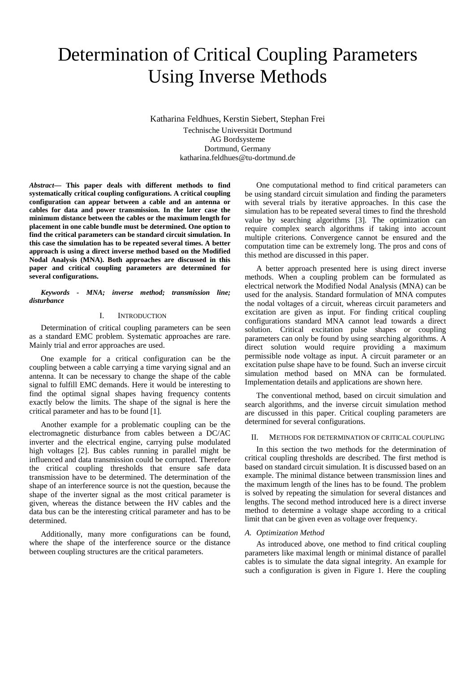# Determination of Critical Coupling Parameters Using Inverse Methods

Katharina Feldhues, Kerstin Siebert, Stephan Frei Technische Universität Dortmund AG Bordsysteme Dortmund, Germany katharina.feldhues@tu-dortmund.de

*Abstract***— This paper deals with different methods to find systematically critical coupling configurations. A critical coupling configuration can appear between a cable and an antenna or cables for data and power transmission. In the later case the minimum distance between the cables or the maximum length for placement in one cable bundle must be determined. One option to find the critical parameters can be standard circuit simulation. In this case the simulation has to be repeated several times. A better approach is using a direct inverse method based on the Modified Nodal Analysis (MNA). Both approaches are discussed in this paper and critical coupling parameters are determined for several configurations.** 

*Keywords - MNA; inverse method; transmission line; disturbance* 

### I. INTRODUCTION

Determination of critical coupling parameters can be seen as a standard EMC problem. Systematic approaches are rare. Mainly trial and error approaches are used.

One example for a critical configuration can be the coupling between a cable carrying a time varying signal and an antenna. It can be necessary to change the shape of the cable signal to fulfill EMC demands. Here it would be interesting to find the optimal signal shapes having frequency contents exactly below the limits. The shape of the signal is here the critical parameter and has to be found [1].

Another example for a problematic coupling can be the electromagnetic disturbance from cables between a DC/AC inverter and the electrical engine, carrying pulse modulated high voltages [2]. Bus cables running in parallel might be influenced and data transmission could be corrupted. Therefore the critical coupling thresholds that ensure safe data transmission have to be determined. The determination of the shape of an interference source is not the question, because the shape of the inverter signal as the most critical parameter is given, whereas the distance between the HV cables and the data bus can be the interesting critical parameter and has to be determined.

Additionally, many more configurations can be found, where the shape of the interference source or the distance between coupling structures are the critical parameters.

One computational method to find critical parameters can be using standard circuit simulation and finding the parameters with several trials by iterative approaches. In this case the simulation has to be repeated several times to find the threshold value by searching algorithms [3]. The optimization can require complex search algorithms if taking into account multiple criterions. Convergence cannot be ensured and the computation time can be extremely long. The pros and cons of this method are discussed in this paper.

A better approach presented here is using direct inverse methods. When a coupling problem can be formulated as electrical network the Modified Nodal Analysis (MNA) can be used for the analysis. Standard formulation of MNA computes the nodal voltages of a circuit, whereas circuit parameters and excitation are given as input. For finding critical coupling configurations standard MNA cannot lead towards a direct solution. Critical excitation pulse shapes or coupling parameters can only be found by using searching algorithms. A direct solution would require providing a maximum permissible node voltage as input. A circuit parameter or an excitation pulse shape have to be found. Such an inverse circuit simulation method based on MNA can be formulated. Implementation details and applications are shown here.

The conventional method, based on circuit simulation and search algorithms, and the inverse circuit simulation method are discussed in this paper. Critical coupling parameters are determined for several configurations.

# II. METHODS FOR DETERMINATION OF CRITICAL COUPLING

In this section the two methods for the determination of critical coupling thresholds are described. The first method is based on standard circuit simulation. It is discussed based on an example. The minimal distance between transmission lines and the maximum length of the lines has to be found. The problem is solved by repeating the simulation for several distances and lengths. The second method introduced here is a direct inverse method to determine a voltage shape according to a critical limit that can be given even as voltage over frequency.

## *A. Optimization Method*

As introduced above, one method to find critical coupling parameters like maximal length or minimal distance of parallel cables is to simulate the data signal integrity. An example for such a configuration is given in Figure 1. Here the coupling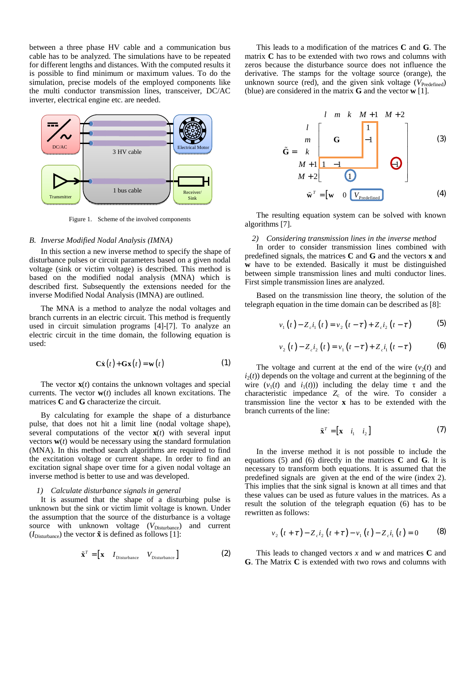between a three phase HV cable and a communication bus cable has to be analyzed. The simulations have to be repeated for different lengths and distances. With the computed results it is possible to find minimum or maximum values. To do the simulation, precise models of the employed components like the multi conductor transmission lines, transceiver, DC/AC inverter, electrical engine etc. are needed.



Figure 1. Scheme of the involved components

## *B. Inverse Modified Nodal Analysis (IMNA)*

In this section a new inverse method to specify the shape of disturbance pulses or circuit parameters based on a given nodal voltage (sink or victim voltage) is described. This method is based on the modified nodal analysis (MNA) which is described first. Subsequently the extensions needed for the inverse Modified Nodal Analysis (IMNA) are outlined.

The MNA is a method to analyze the nodal voltages and branch currents in an electric circuit. This method is frequently used in circuit simulation programs [4]-[7]. To analyze an electric circuit in the time domain, the following equation is used:

$$
\mathbf{C}\dot{\mathbf{x}}(t) + \mathbf{G}\mathbf{x}(t) = \mathbf{w}(t)
$$
 (1)

The vector **x**(*t*) contains the unknown voltages and special currents. The vector **w**(*t*) includes all known excitations. The matrices **C** and **G** characterize the circuit.

By calculating for example the shape of a disturbance pulse, that does not hit a limit line (nodal voltage shape), several computations of the vector  $\mathbf{x}(t)$  with several input vectors  $w(t)$  would be necessary using the standard formulation (MNA). In this method search algorithms are required to find the excitation voltage or current shape. In order to find an excitation signal shape over time for a given nodal voltage an inverse method is better to use and was developed.

# *1) Calculate disturbance signals in general*

It is assumed that the shape of a disturbing pulse is unknown but the sink or victim limit voltage is known. Under the assumption that the source of the disturbance is a voltage source with unknown voltage (V<sub>Disturbance</sub>) and current  $(I_{\text{Disturbance}})$  the vector  $\tilde{\mathbf{x}}$  is defined as follows [1]:

$$
\tilde{\mathbf{x}}^T = \begin{bmatrix} \mathbf{x} & I_{\text{Disturbance}} & V_{\text{Disturbance}} \end{bmatrix}
$$
 (2)

This leads to a modification of the matrices **C** and **G**. The matrix **C** has to be extended with two rows and columns with zeros because the disturbance source does not influence the derivative. The stamps for the voltage source (orange), the unknown source (red), and the given sink voltage  $(V_{\text{Predicted}})$ (blue) are considered in the matrix **G** and the vector **w** [1].

$$
\tilde{G} = k
$$
\n
$$
M + 1
$$
\n
$$
M + 2
$$
\n
$$
M + 2
$$
\n
$$
M + 2
$$
\n
$$
\tilde{w}^{T} = [w \quad 0 \quad V_{\text{Predict}}]
$$
\n(3)

The resulting equation system can be solved with known algorithms [7].

## *2) Considering transmission lines in the inverse method*

In order to consider transmission lines combined with predefined signals, the matrices **C** and **G** and the vectors **x** and **w** have to be extended. Basically it must be distinguished between simple transmission lines and multi conductor lines. First simple transmission lines are analyzed.

Based on the transmission line theory, the solution of the telegraph equation in the time domain can be described as [8]:

$$
v_1(t) - Z_c i_1(t) = v_2(t - \tau) + Z_c i_2(t - \tau)
$$
 (5)

$$
v_2(t) - Z_c i_2(t) = v_1(t - \tau) + Z_c i_1(t - \tau)
$$
 (6)

The voltage and current at the end of the wire  $(v_2(t))$  and  $i_2(t)$  depends on the voltage and current at the beginning of the wire  $(v_1(t)$  and  $i_1(t)$ )) including the delay time  $\tau$  and the characteristic impedance  $Z_c$  of the wire. To consider a transmission line the vector **x** has to be extended with the branch currents of the line:

$$
\tilde{\mathbf{x}}^T = \begin{bmatrix} \mathbf{x} & i_1 & i_2 \end{bmatrix} \tag{7}
$$

In the inverse method it is not possible to include the equations (5) and (6) directly in the matrices **C** and **G**. It is necessary to transform both equations. It is assumed that the predefined signals are given at the end of the wire (index 2). This implies that the sink signal is known at all times and that these values can be used as future values in the matrices. As a result the solution of the telegraph equation (6) has to be rewritten as follows:

$$
v_2(t+\tau) - Z_c i_2(t+\tau) - v_1(t) - Z_c i_1(t) = 0 \tag{8}
$$

This leads to changed vectors *x* and *w* and matrices **C** and **G**. The Matrix **C** is extended with two rows and columns with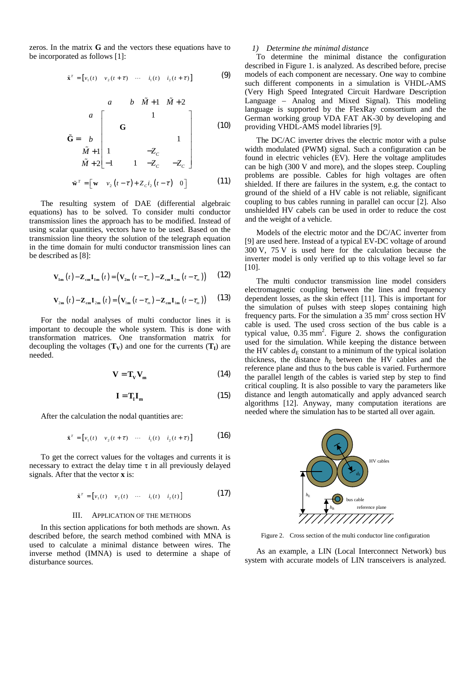zeros. In the matrix **G** and the vectors these equations have to be incorporated as follows [1]:

$$
\tilde{\mathbf{x}}^T = \begin{bmatrix} v_1(t) & v_2(t+\tau) & \cdots & i_1(t) & i_2(t+\tau) \end{bmatrix}
$$
 (9)

$$
\tilde{\mathbf{G}} = \begin{bmatrix}\n & a & b & \tilde{M} + 1 & \tilde{M} + 2 \\
a & & & & \\
\mathbf{G} & & & & \\
\tilde{M} + 1 & & & & \\
1 & & -Z_c & & \\
\tilde{M} + 2 & -1 & 1 & -Z_c & -Z_c\n\end{bmatrix}
$$
\n(10)\n
$$
\tilde{\mathbf{w}}^T = \begin{bmatrix} \mathbf{w} & v_2(t-\tau) + Z_c i_2(t-\tau) & 0 \end{bmatrix}
$$
\n(11)

The resulting system of DAE (differential algebraic equations) has to be solved. To consider multi conductor transmission lines the approach has to be modified. Instead of using scalar quantities, vectors have to be used. Based on the transmission line theory the solution of the telegraph equation in the time domain for multi conductor transmission lines can be described as [8]:

$$
\mathbf{V}_{1m}(t) - \mathbf{Z}_{cm} \mathbf{I}_{1m}(t) = (\mathbf{V}_{2m}(t - \tau_m) - \mathbf{Z}_{cm} \mathbf{I}_{2m}(t - \tau_m)) \qquad (12)
$$

$$
\mathbf{V}_{2m}\left(t\right) - \mathbf{Z}_{cm}\mathbf{I}_{2m}\left(t\right) = \left(\mathbf{V}_{1m}\left(t - \tau_{m}\right) - \mathbf{Z}_{cm}\mathbf{I}_{1m}\left(t - \tau_{m}\right)\right) \tag{13}
$$

For the nodal analyses of multi conductor lines it is important to decouple the whole system. This is done with transformation matrices. One transformation matrix for decoupling the voltages  $(T_V)$  and one for the currents  $(T_I)$  are needed.

$$
\mathbf{V} = \mathbf{T}_{\mathbf{V}} \mathbf{V}_{\mathbf{m}} \tag{14}
$$

$$
\mathbf{I} = \mathbf{T}_{\mathbf{I}} \mathbf{I}_{\mathbf{m}} \tag{15}
$$

After the calculation the nodal quantities are:

$$
\tilde{\mathbf{x}}^T = \begin{bmatrix} v_1(t) & v_2(t+\tau) & \cdots & i_1(t) & i_2(t+\tau) \end{bmatrix}
$$
 (16)

To get the correct values for the voltages and currents it is necessary to extract the delay time  $\tau$  in all previously delayed signals. After that the vector **x** is:

$$
\tilde{\mathbf{x}}^T = \begin{bmatrix} v_1(t) & v_2(t) & \cdots & i_1(t) & i_2(t) \end{bmatrix}
$$
 (17)

#### III. APPLICATION OF THE METHODS

In this section applications for both methods are shown. As described before, the search method combined with MNA is used to calculate a minimal distance between wires. The inverse method (IMNA) is used to determine a shape of disturbance sources.

# *1) Determine the minimal distance*

To determine the minimal distance the configuration described in Figure 1. is analyzed. As described before, precise models of each component are necessary. One way to combine such different components in a simulation is VHDL-AMS (Very High Speed Integrated Circuit Hardware Description Language – Analog and Mixed Signal). This modeling language is supported by the FlexRay consortium and the German working group VDA FAT AK-30 by developing and providing VHDL-AMS model libraries [9].

The DC/AC inverter drives the electric motor with a pulse width modulated (PWM) signal. Such a configuration can be found in electric vehicles (EV). Here the voltage amplitudes can be high (300 V and more), and the slopes steep. Coupling problems are possible. Cables for high voltages are often shielded. If there are failures in the system, e.g. the contact to ground of the shield of a HV cable is not reliable, significant coupling to bus cables running in parallel can occur [2]. Also unshielded HV cabels can be used in order to reduce the cost and the weight of a vehicle.

Models of the electric motor and the DC/AC inverter from [9] are used here. Instead of a typical EV-DC voltage of around 300 V, 75 V is used here for the calculation because the inverter model is only verified up to this voltage level so far [10].

The multi conductor transmission line model considers electromagnetic coupling between the lines and frequency dependent losses, as the skin effect [11]. This is important for the simulation of pulses with steep slopes containing high frequency parts. For the simulation a  $35 \text{ mm}^2$  cross section  $\overline{HV}$ cable is used. The used cross section of the bus cable is a typical value,  $0.35$  mm<sup>2</sup>. Figure 2. shows the configuration used for the simulation. While keeping the distance between the HV cables  $d_E$  constant to a minimum of the typical isolation thickness, the distance  $h<sub>E</sub>$  between the HV cables and the reference plane and thus to the bus cable is varied. Furthermore the parallel length of the cables is varied step by step to find critical coupling. It is also possible to vary the parameters like distance and length automatically and apply advanced search algorithms [12]. Anyway, many computation iterations are needed where the simulation has to be started all over again.



Figure 2. Cross section of the multi conductor line configuration

As an example, a LIN (Local Interconnect Network) bus system with accurate models of LIN transceivers is analyzed.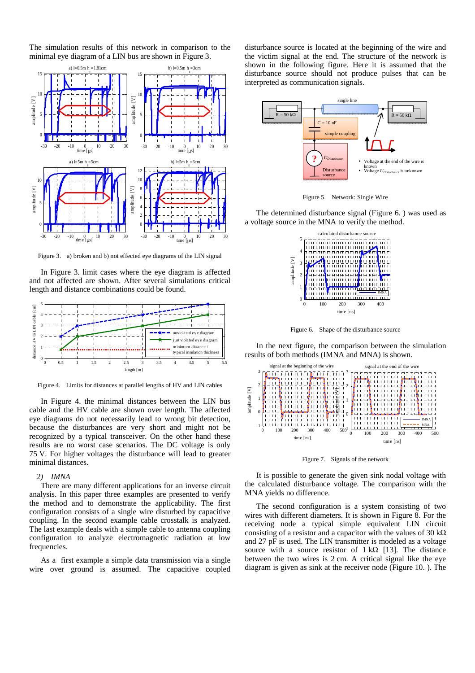The simulation results of this network in comparison to the minimal eye diagram of a LIN bus are shown in Figure 3.



Figure 3. a) broken and b) not effected eye diagrams of the LIN signal

In Figure 3. limit cases where the eye diagram is affected and not affected are shown. After several simulations critical length and distance combinations could be found.



Figure 4. Limits for distances at parallel lengths of HV and LIN cables

In Figure 4. the minimal distances between the LIN bus cable and the HV cable are shown over length. The affected eye diagrams do not necessarily lead to wrong bit detection, because the disturbances are very short and might not be recognized by a typical transceiver. On the other hand these results are no worst case scenarios. The DC voltage is only 75 V. For higher voltages the disturbance will lead to greater minimal distances.

# *2) IMNA*

There are many different applications for an inverse circuit analysis. In this paper three examples are presented to verify the method and to demonstrate the applicability. The first configuration consists of a single wire disturbed by capacitive coupling. In the second example cable crosstalk is analyzed. The last example deals with a simple cable to antenna coupling configuration to analyze electromagnetic radiation at low frequencies.

As a first example a simple data transmission via a single wire over ground is assumed. The capacitive coupled disturbance source is located at the beginning of the wire and the victim signal at the end. The structure of the network is shown in the following figure. Here it is assumed that the disturbance source should not produce pulses that can be interpreted as communication signals.





The determined disturbance signal (Figure 6. ) was used as a voltage source in the MNA to verify the method.



Figure 6. Shape of the disturbance source

In the next figure, the comparison between the simulation results of both methods (IMNA and MNA) is shown.



Figure 7. Signals of the network

It is possible to generate the given sink nodal voltage with the calculated disturbance voltage. The comparison with the MNA yields no difference.

The second configuration is a system consisting of two wires with different diameters. It is shown in Figure 8. For the receiving node a typical simple equivalent LIN circuit consisting of a resistor and a capacitor with the values of 30 k $\Omega$ and 27 pF is used. The LIN transmitter is modeled as a voltage source with a source resistor of  $1 k\Omega$  [13]. The distance between the two wires is 2 cm. A critical signal like the eye diagram is given as sink at the receiver node (Figure 10. ). The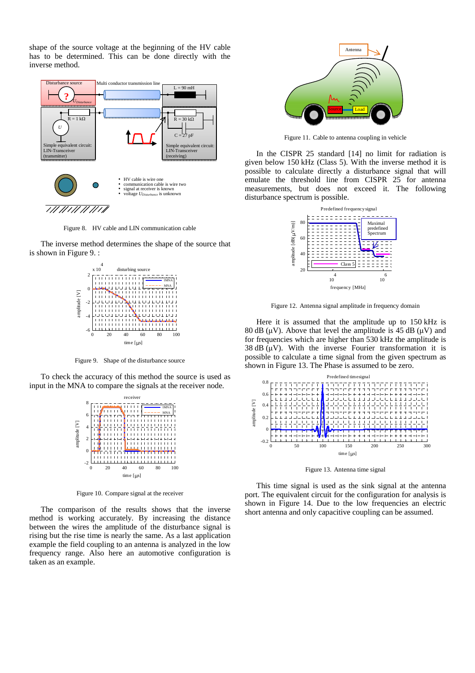shape of the source voltage at the beginning of the HV cable has to be determined. This can be done directly with the inverse method.



Figure 8. HV cable and LIN communication cable

The inverse method determines the shape of the source that is shown in Figure 9. :



Figure 9. Shape of the disturbance source

To check the accuracy of this method the source is used as input in the MNA to compare the signals at the receiver node.



Figure 10. Compare signal at the receiver

The comparison of the results shows that the inverse method is working accurately. By increasing the distance between the wires the amplitude of the disturbance signal is rising but the rise time is nearly the same. As a last application example the field coupling to an antenna is analyzed in the low frequency range. Also here an automotive configuration is taken as an example.



Figure 11. Cable to antenna coupling in vehicle

In the CISPR 25 standard [14] no limit for radiation is given below 150 kHz (Class 5). With the inverse method it is possible to calculate directly a disturbance signal that will emulate the threshold line from CISPR 25 for antenna measurements, but does not exceed it. The following disturbance spectrum is possible.



Figure 12. Antenna signal amplitude in frequency domain

Here it is assumed that the amplitude up to 150 kHz is 80 dB ( $\mu$ V). Above that level the amplitude is 45 dB ( $\mu$ V) and for frequencies which are higher than 530 kHz the amplitude is 38 dB  $(\mu V)$ . With the inverse Fourier transformation it is possible to calculate a time signal from the given spectrum as shown in Figure 13. The Phase is assumed to be zero.



Figure 13. Antenna time signal

This time signal is used as the sink signal at the antenna port. The equivalent circuit for the configuration for analysis is shown in Figure 14. Due to the low frequencies an electric short antenna and only capacitive coupling can be assumed.